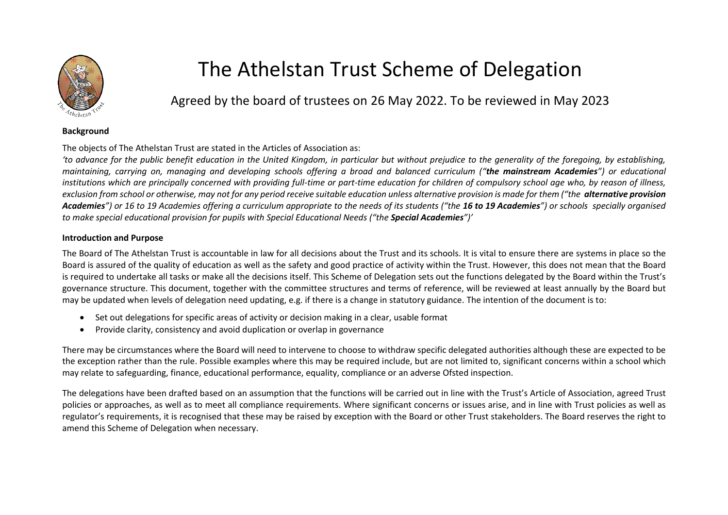

## The Athelstan Trust Scheme of Delegation

Agreed by the board of trustees on 26 May 2022. To be reviewed in May 2023

## **Background**

The objects of The Athelstan Trust are stated in the Articles of Association as:

*'to advance for the public benefit education in the United Kingdom, in particular but without prejudice to the generality of the foregoing, by establishing, maintaining, carrying on, managing and developing schools offering a broad and balanced curriculum ("the mainstream Academies") or educational institutions which are principally concerned with providing full-time or part-time education for children of compulsory school age who, by reason of illness, exclusion from school or otherwise, may not for any period receive suitable education unless alternative provision is made for them ("the alternative provision*  Academies<sup>*"*</sup>) or 16 to 19 Academies offering a curriculum appropriate to the needs of its students ("the 16 to 19 Academies") or schools specially organised *to make special educational provision for pupils with Special Educational Needs ("the Special Academies")'*

## **Introduction and Purpose**

The Board of The Athelstan Trust is accountable in law for all decisions about the Trust and its schools. It is vital to ensure there are systems in place so the Board is assured of the quality of education as well as the safety and good practice of activity within the Trust. However, this does not mean that the Board is required to undertake all tasks or make all the decisions itself. This Scheme of Delegation sets out the functions delegated by the Board within the Trust's governance structure. This document, together with the committee structures and terms of reference, will be reviewed at least annually by the Board but may be updated when levels of delegation need updating, e.g. if there is a change in statutory guidance. The intention of the document is to:

- Set out delegations for specific areas of activity or decision making in a clear, usable format
- Provide clarity, consistency and avoid duplication or overlap in governance

There may be circumstances where the Board will need to intervene to choose to withdraw specific delegated authorities although these are expected to be the exception rather than the rule. Possible examples where this may be required include, but are not limited to, significant concerns within a school which may relate to safeguarding, finance, educational performance, equality, compliance or an adverse Ofsted inspection.

The delegations have been drafted based on an assumption that the functions will be carried out in line with the Trust's Article of Association, agreed Trust policies or approaches, as well as to meet all compliance requirements. Where significant concerns or issues arise, and in line with Trust policies as well as regulator's requirements, it is recognised that these may be raised by exception with the Board or other Trust stakeholders. The Board reserves the right to amend this Scheme of Delegation when necessary.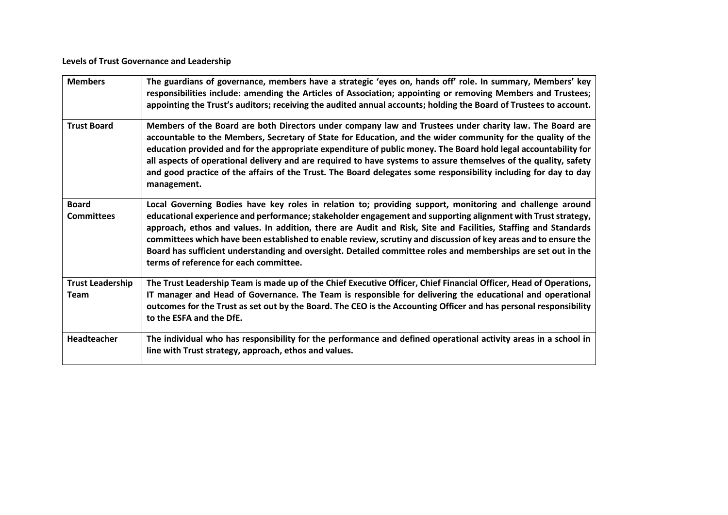**Levels of Trust Governance and Leadership**

| <b>Members</b>                         | The guardians of governance, members have a strategic 'eyes on, hands off' role. In summary, Members' key<br>responsibilities include: amending the Articles of Association; appointing or removing Members and Trustees;<br>appointing the Trust's auditors; receiving the audited annual accounts; holding the Board of Trustees to account.                                                                                                                                                                                                                                                                           |
|----------------------------------------|--------------------------------------------------------------------------------------------------------------------------------------------------------------------------------------------------------------------------------------------------------------------------------------------------------------------------------------------------------------------------------------------------------------------------------------------------------------------------------------------------------------------------------------------------------------------------------------------------------------------------|
| <b>Trust Board</b>                     | Members of the Board are both Directors under company law and Trustees under charity law. The Board are<br>accountable to the Members, Secretary of State for Education, and the wider community for the quality of the<br>education provided and for the appropriate expenditure of public money. The Board hold legal accountability for<br>all aspects of operational delivery and are required to have systems to assure themselves of the quality, safety<br>and good practice of the affairs of the Trust. The Board delegates some responsibility including for day to day<br>management.                         |
| <b>Board</b><br><b>Committees</b>      | Local Governing Bodies have key roles in relation to; providing support, monitoring and challenge around<br>educational experience and performance; stakeholder engagement and supporting alignment with Trust strategy,<br>approach, ethos and values. In addition, there are Audit and Risk, Site and Facilities, Staffing and Standards<br>committees which have been established to enable review, scrutiny and discussion of key areas and to ensure the<br>Board has sufficient understanding and oversight. Detailed committee roles and memberships are set out in the<br>terms of reference for each committee. |
| <b>Trust Leadership</b><br><b>Team</b> | The Trust Leadership Team is made up of the Chief Executive Officer, Chief Financial Officer, Head of Operations,<br>IT manager and Head of Governance. The Team is responsible for delivering the educational and operational<br>outcomes for the Trust as set out by the Board. The CEO is the Accounting Officer and has personal responsibility<br>to the ESFA and the DfE.                                                                                                                                                                                                                                          |
| Headteacher                            | The individual who has responsibility for the performance and defined operational activity areas in a school in<br>line with Trust strategy, approach, ethos and values.                                                                                                                                                                                                                                                                                                                                                                                                                                                 |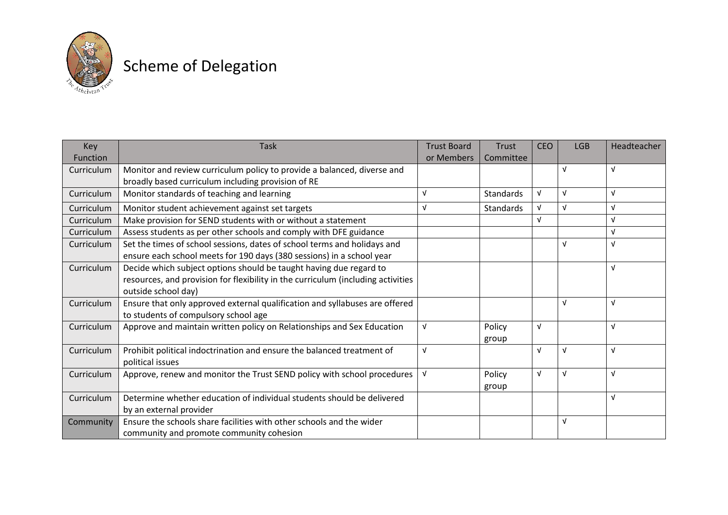

## Scheme of Delegation

| Key        | <b>Task</b>                                                                      | <b>Trust Board</b> | <b>Trust</b>     | <b>CEO</b> | <b>LGB</b> | Headteacher |
|------------|----------------------------------------------------------------------------------|--------------------|------------------|------------|------------|-------------|
| Function   |                                                                                  | or Members         | Committee        |            |            |             |
| Curriculum | Monitor and review curriculum policy to provide a balanced, diverse and          |                    |                  |            | $\sqrt{ }$ | $\sqrt{ }$  |
|            | broadly based curriculum including provision of RE                               |                    |                  |            |            |             |
| Curriculum | Monitor standards of teaching and learning                                       | $\sqrt{ }$         | <b>Standards</b> | V          | $\sqrt{ }$ | $\sqrt{ }$  |
| Curriculum | Monitor student achievement against set targets                                  |                    | <b>Standards</b> | v          | $\sqrt{ }$ | $\sqrt{ }$  |
| Curriculum | Make provision for SEND students with or without a statement                     |                    |                  | v          |            | $\sqrt{ }$  |
| Curriculum | Assess students as per other schools and comply with DFE guidance                |                    |                  |            |            | $\sqrt{ }$  |
| Curriculum | Set the times of school sessions, dates of school terms and holidays and         |                    |                  |            | $\sqrt{ }$ | $\sqrt{ }$  |
|            | ensure each school meets for 190 days (380 sessions) in a school year            |                    |                  |            |            |             |
| Curriculum | Decide which subject options should be taught having due regard to               |                    |                  |            |            | $\sqrt{ }$  |
|            | resources, and provision for flexibility in the curriculum (including activities |                    |                  |            |            |             |
|            | outside school day)                                                              |                    |                  |            |            |             |
| Curriculum | Ensure that only approved external qualification and syllabuses are offered      |                    |                  |            | $\sqrt{ }$ | $\sqrt{ }$  |
|            | to students of compulsory school age                                             |                    |                  |            |            |             |
| Curriculum | Approve and maintain written policy on Relationships and Sex Education           | V                  | Policy           | V          |            | $\sqrt{ }$  |
|            |                                                                                  |                    | group            |            |            |             |
| Curriculum | Prohibit political indoctrination and ensure the balanced treatment of           | v                  |                  | V          | $\sqrt{ }$ | $\sqrt{ }$  |
|            | political issues                                                                 |                    |                  |            |            |             |
| Curriculum | Approve, renew and monitor the Trust SEND policy with school procedures          | V                  | Policy           | Λ          | $\sqrt{ }$ | $\sqrt{ }$  |
|            |                                                                                  |                    | group            |            |            |             |
| Curriculum | Determine whether education of individual students should be delivered           |                    |                  |            |            | $\sqrt{ }$  |
|            | by an external provider                                                          |                    |                  |            |            |             |
| Community  | Ensure the schools share facilities with other schools and the wider             |                    |                  |            | V          |             |
|            | community and promote community cohesion                                         |                    |                  |            |            |             |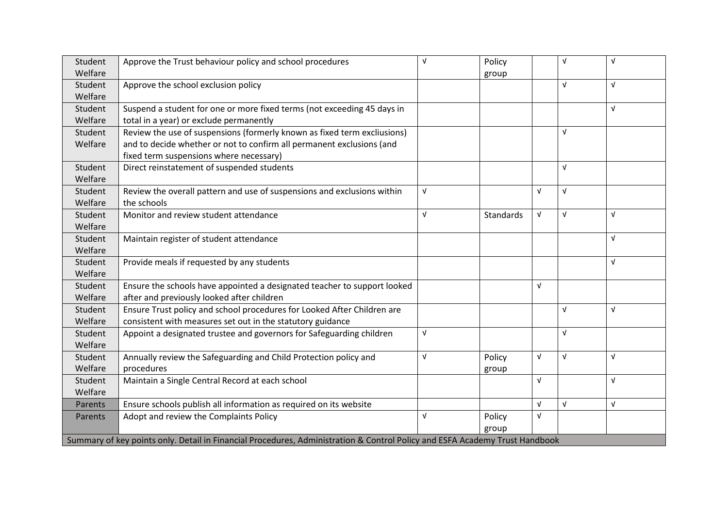| Student                                                                                                                     | Approve the Trust behaviour policy and school procedures                 | V          | Policy    |            | $\sqrt{ }$ | $\sqrt{ }$ |  |
|-----------------------------------------------------------------------------------------------------------------------------|--------------------------------------------------------------------------|------------|-----------|------------|------------|------------|--|
| Welfare                                                                                                                     |                                                                          |            | group     |            |            |            |  |
| Student                                                                                                                     | Approve the school exclusion policy                                      |            |           |            | $\sqrt{ }$ | $\sqrt{ }$ |  |
| Welfare                                                                                                                     |                                                                          |            |           |            |            |            |  |
| Student                                                                                                                     | Suspend a student for one or more fixed terms (not exceeding 45 days in  |            |           |            |            | $\sqrt{ }$ |  |
| Welfare                                                                                                                     | total in a year) or exclude permanently                                  |            |           |            |            |            |  |
| Student                                                                                                                     | Review the use of suspensions (formerly known as fixed term excliusions) |            |           |            | $\sqrt{ }$ |            |  |
| Welfare                                                                                                                     | and to decide whether or not to confirm all permanent exclusions (and    |            |           |            |            |            |  |
|                                                                                                                             | fixed term suspensions where necessary)                                  |            |           |            |            |            |  |
| Student                                                                                                                     | Direct reinstatement of suspended students                               |            |           |            | $\sqrt{ }$ |            |  |
| Welfare                                                                                                                     |                                                                          |            |           |            |            |            |  |
| Student                                                                                                                     | Review the overall pattern and use of suspensions and exclusions within  | V          |           | $\sqrt{ }$ | $\sqrt{ }$ |            |  |
| Welfare                                                                                                                     | the schools                                                              |            |           |            |            |            |  |
| Student                                                                                                                     | Monitor and review student attendance                                    | $\sqrt{ }$ | Standards | V          | $\sqrt{ }$ | $\sqrt{ }$ |  |
| Welfare                                                                                                                     |                                                                          |            |           |            |            |            |  |
| Student                                                                                                                     | Maintain register of student attendance                                  |            |           |            |            | $\sqrt{ }$ |  |
| Welfare                                                                                                                     |                                                                          |            |           |            |            |            |  |
| Student                                                                                                                     | Provide meals if requested by any students                               |            |           |            |            | $\sqrt{ }$ |  |
| Welfare                                                                                                                     |                                                                          |            |           |            |            |            |  |
| Student                                                                                                                     | Ensure the schools have appointed a designated teacher to support looked |            |           | $\sqrt{ }$ |            |            |  |
| Welfare                                                                                                                     | after and previously looked after children                               |            |           |            |            |            |  |
| Student                                                                                                                     | Ensure Trust policy and school procedures for Looked After Children are  |            |           |            | $\sqrt{ }$ | $\sqrt{ }$ |  |
| Welfare                                                                                                                     | consistent with measures set out in the statutory guidance               |            |           |            |            |            |  |
| Student                                                                                                                     | Appoint a designated trustee and governors for Safeguarding children     | V          |           |            | $\sqrt{ }$ |            |  |
| Welfare                                                                                                                     |                                                                          |            |           |            |            |            |  |
| Student                                                                                                                     | Annually review the Safeguarding and Child Protection policy and         | V          | Policy    | $\sqrt{ }$ | $\sqrt{ }$ | $\sqrt{ }$ |  |
| Welfare                                                                                                                     | procedures                                                               |            | group     |            |            |            |  |
| Student                                                                                                                     | Maintain a Single Central Record at each school                          |            |           | $\sqrt{ }$ |            | $\sqrt{ }$ |  |
| Welfare                                                                                                                     |                                                                          |            |           |            |            |            |  |
| Parents                                                                                                                     | Ensure schools publish all information as required on its website        |            |           | $\sqrt{ }$ | $\sqrt{ }$ | $\sqrt{ }$ |  |
| Parents                                                                                                                     | Adopt and review the Complaints Policy                                   | V          | Policy    | V          |            |            |  |
|                                                                                                                             |                                                                          |            | group     |            |            |            |  |
| Summary of key points only. Detail in Financial Procedures, Administration & Control Policy and ESFA Academy Trust Handbook |                                                                          |            |           |            |            |            |  |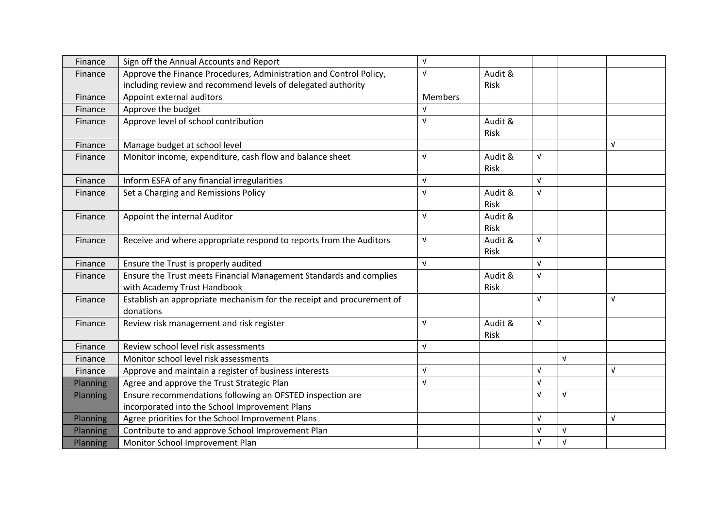| Finance  | Sign off the Annual Accounts and Report                               | V          |             |            |            |            |
|----------|-----------------------------------------------------------------------|------------|-------------|------------|------------|------------|
| Finance  | Approve the Finance Procedures, Administration and Control Policy,    | $\sqrt{ }$ | Audit &     |            |            |            |
|          | including review and recommend levels of delegated authority          |            | Risk        |            |            |            |
| Finance  | Appoint external auditors                                             | Members    |             |            |            |            |
| Finance  | Approve the budget                                                    | $\sqrt{ }$ |             |            |            |            |
| Finance  | Approve level of school contribution                                  | $\sqrt{ }$ | Audit &     |            |            |            |
|          |                                                                       |            | <b>Risk</b> |            |            |            |
| Finance  | Manage budget at school level                                         |            |             |            |            | $\sqrt{ }$ |
| Finance  | Monitor income, expenditure, cash flow and balance sheet              | $\sqrt{ }$ | Audit &     | V          |            |            |
|          |                                                                       |            | Risk        |            |            |            |
| Finance  | Inform ESFA of any financial irregularities                           | $\sqrt{ }$ |             | $\sqrt{ }$ |            |            |
| Finance  | Set a Charging and Remissions Policy                                  | $\sqrt{ }$ | Audit &     | V          |            |            |
|          |                                                                       |            | <b>Risk</b> |            |            |            |
| Finance  | Appoint the internal Auditor                                          | $\sqrt{ }$ | Audit &     |            |            |            |
|          |                                                                       |            | Risk        |            |            |            |
| Finance  | Receive and where appropriate respond to reports from the Auditors    | $\sqrt{ }$ | Audit &     | $\sqrt{ }$ |            |            |
|          |                                                                       |            | Risk        |            |            |            |
| Finance  | Ensure the Trust is properly audited                                  | $\sqrt{ }$ |             | $\sqrt{ }$ |            |            |
| Finance  | Ensure the Trust meets Financial Management Standards and complies    |            | Audit &     | V          |            |            |
|          | with Academy Trust Handbook                                           |            | Risk        |            |            |            |
| Finance  | Establish an appropriate mechanism for the receipt and procurement of |            |             | V          |            | $\sqrt{ }$ |
|          | donations                                                             |            |             |            |            |            |
| Finance  | Review risk management and risk register                              | $\sqrt{ }$ | Audit &     | $\sqrt{ }$ |            |            |
|          |                                                                       |            | Risk        |            |            |            |
| Finance  | Review school level risk assessments                                  | $\sqrt{ }$ |             |            |            |            |
| Finance  | Monitor school level risk assessments                                 |            |             |            | $\sqrt{ }$ |            |
| Finance  | Approve and maintain a register of business interests                 | $\sqrt{ }$ |             | $\sqrt{ }$ |            | $\sqrt{ }$ |
| Planning | Agree and approve the Trust Strategic Plan                            | $\sqrt{ }$ |             | V          |            |            |
| Planning | Ensure recommendations following an OFSTED inspection are             |            |             | V          | $\sqrt{ }$ |            |
|          | incorporated into the School Improvement Plans                        |            |             |            |            |            |
| Planning | Agree priorities for the School Improvement Plans                     |            |             | $\sqrt{ }$ |            | $\sqrt{ }$ |
| Planning | Contribute to and approve School Improvement Plan                     |            |             | V          | $\sqrt{ }$ |            |
| Planning | Monitor School Improvement Plan                                       |            |             | $\sqrt{ }$ | $\sqrt{ }$ |            |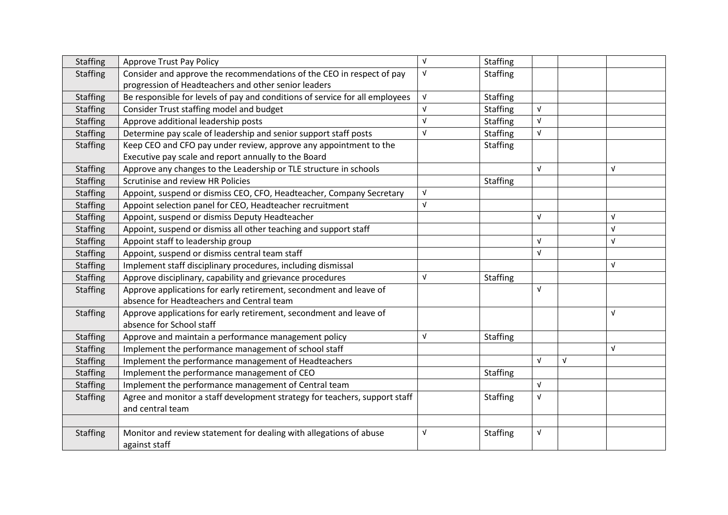| <b>Staffing</b> | <b>Approve Trust Pay Policy</b>                                              | $\sqrt{ }$ | <b>Staffing</b> |            |            |            |
|-----------------|------------------------------------------------------------------------------|------------|-----------------|------------|------------|------------|
| <b>Staffing</b> | Consider and approve the recommendations of the CEO in respect of pay        | $\sqrt{ }$ | <b>Staffing</b> |            |            |            |
|                 | progression of Headteachers and other senior leaders                         |            |                 |            |            |            |
| <b>Staffing</b> | Be responsible for levels of pay and conditions of service for all employees | $\sqrt{ }$ | <b>Staffing</b> |            |            |            |
| <b>Staffing</b> | Consider Trust staffing model and budget                                     | $\sqrt{ }$ | <b>Staffing</b> | $\sqrt{ }$ |            |            |
| <b>Staffing</b> | Approve additional leadership posts                                          | $\sqrt{ }$ | <b>Staffing</b> | $\sqrt{ }$ |            |            |
| <b>Staffing</b> | Determine pay scale of leadership and senior support staff posts             | $\sqrt{ }$ | <b>Staffing</b> | $\sqrt{ }$ |            |            |
| <b>Staffing</b> | Keep CEO and CFO pay under review, approve any appointment to the            |            | <b>Staffing</b> |            |            |            |
|                 | Executive pay scale and report annually to the Board                         |            |                 |            |            |            |
| <b>Staffing</b> | Approve any changes to the Leadership or TLE structure in schools            |            |                 | $\sqrt{ }$ |            | $\sqrt{ }$ |
| <b>Staffing</b> | Scrutinise and review HR Policies                                            |            | <b>Staffing</b> |            |            |            |
| <b>Staffing</b> | Appoint, suspend or dismiss CEO, CFO, Headteacher, Company Secretary         | $\sqrt{ }$ |                 |            |            |            |
| <b>Staffing</b> | Appoint selection panel for CEO, Headteacher recruitment                     | $\sqrt{ }$ |                 |            |            |            |
| <b>Staffing</b> | Appoint, suspend or dismiss Deputy Headteacher                               |            |                 | $\sqrt{ }$ |            | $\sqrt{ }$ |
| <b>Staffing</b> | Appoint, suspend or dismiss all other teaching and support staff             |            |                 |            |            | $\sqrt{ }$ |
| <b>Staffing</b> | Appoint staff to leadership group                                            |            |                 | V          |            | $\sqrt{ }$ |
| <b>Staffing</b> | Appoint, suspend or dismiss central team staff                               |            |                 | $\sqrt{ }$ |            |            |
| <b>Staffing</b> | Implement staff disciplinary procedures, including dismissal                 |            |                 |            |            | $\sqrt{ }$ |
| <b>Staffing</b> | Approve disciplinary, capability and grievance procedures                    | $\sqrt{ }$ | <b>Staffing</b> |            |            |            |
| <b>Staffing</b> | Approve applications for early retirement, secondment and leave of           |            |                 | $\sqrt{ }$ |            |            |
|                 | absence for Headteachers and Central team                                    |            |                 |            |            |            |
| <b>Staffing</b> | Approve applications for early retirement, secondment and leave of           |            |                 |            |            | $\sqrt{ }$ |
|                 | absence for School staff                                                     |            |                 |            |            |            |
| <b>Staffing</b> | Approve and maintain a performance management policy                         | $\sqrt{ }$ | <b>Staffing</b> |            |            |            |
| <b>Staffing</b> | Implement the performance management of school staff                         |            |                 |            |            | $\sqrt{ }$ |
| <b>Staffing</b> | Implement the performance management of Headteachers                         |            |                 | $\sqrt{ }$ | $\sqrt{ }$ |            |
| <b>Staffing</b> | Implement the performance management of CEO                                  |            | <b>Staffing</b> |            |            |            |
| <b>Staffing</b> | Implement the performance management of Central team                         |            |                 | $\sqrt{ }$ |            |            |
| <b>Staffing</b> | Agree and monitor a staff development strategy for teachers, support staff   |            | <b>Staffing</b> | $\sqrt{ }$ |            |            |
|                 | and central team                                                             |            |                 |            |            |            |
|                 |                                                                              |            |                 |            |            |            |
| <b>Staffing</b> | Monitor and review statement for dealing with allegations of abuse           | V          | <b>Staffing</b> | V          |            |            |
|                 | against staff                                                                |            |                 |            |            |            |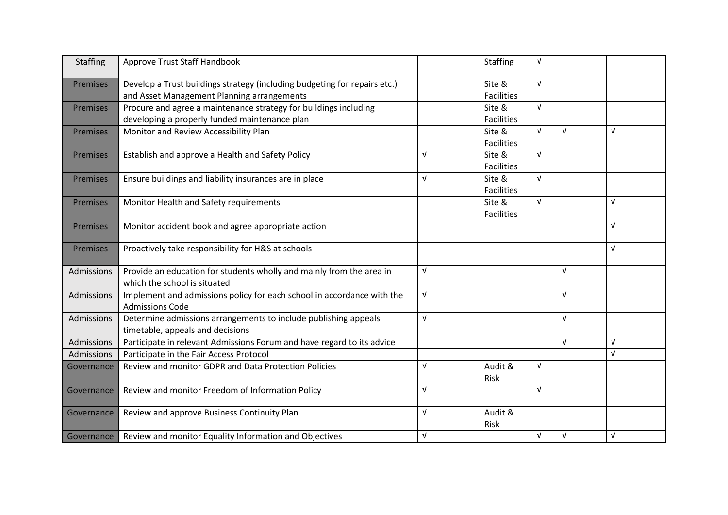| Staffing          | Approve Trust Staff Handbook                                                                                   |            | <b>Staffing</b>             | $\sqrt{ }$ |            |            |
|-------------------|----------------------------------------------------------------------------------------------------------------|------------|-----------------------------|------------|------------|------------|
| Premises          | Develop a Trust buildings strategy (including budgeting for repairs etc.)                                      |            | Site &<br><b>Facilities</b> | $\sqrt{ }$ |            |            |
|                   | and Asset Management Planning arrangements<br>Procure and agree a maintenance strategy for buildings including |            | Site &                      | $\sqrt{ }$ |            |            |
| <b>Premises</b>   | developing a properly funded maintenance plan                                                                  |            | <b>Facilities</b>           |            |            |            |
| <b>Premises</b>   | Monitor and Review Accessibility Plan                                                                          |            | Site &                      | $\sqrt{ }$ | $\sqrt{ }$ | $\sqrt{ }$ |
|                   |                                                                                                                |            | <b>Facilities</b>           |            |            |            |
| Premises          | Establish and approve a Health and Safety Policy                                                               | $\sqrt{ }$ | Site &                      | $\sqrt{ }$ |            |            |
|                   |                                                                                                                |            | <b>Facilities</b>           |            |            |            |
| <b>Premises</b>   | Ensure buildings and liability insurances are in place                                                         | $\sqrt{ }$ | Site &                      | $\sqrt{ }$ |            |            |
|                   |                                                                                                                |            | <b>Facilities</b>           |            |            |            |
| <b>Premises</b>   | Monitor Health and Safety requirements                                                                         |            | Site &                      | $\sqrt{ }$ |            | $\sqrt{ }$ |
|                   |                                                                                                                |            | <b>Facilities</b>           |            |            |            |
| <b>Premises</b>   | Monitor accident book and agree appropriate action                                                             |            |                             |            |            | $\sqrt{ }$ |
|                   |                                                                                                                |            |                             |            |            | $\sqrt{ }$ |
| <b>Premises</b>   | Proactively take responsibility for H&S at schools                                                             |            |                             |            |            |            |
| <b>Admissions</b> | Provide an education for students wholly and mainly from the area in                                           | $\sqrt{ }$ |                             |            | $\sqrt{ }$ |            |
|                   | which the school is situated                                                                                   |            |                             |            |            |            |
| <b>Admissions</b> | Implement and admissions policy for each school in accordance with the<br><b>Admissions Code</b>               | $\sqrt{ }$ |                             |            | $\sqrt{ }$ |            |
| <b>Admissions</b> | Determine admissions arrangements to include publishing appeals                                                | $\sqrt{ }$ |                             |            | $\sqrt{ }$ |            |
|                   | timetable, appeals and decisions                                                                               |            |                             |            |            |            |
| Admissions        | Participate in relevant Admissions Forum and have regard to its advice                                         |            |                             |            | $\sqrt{ }$ | $\sqrt{ }$ |
| Admissions        | Participate in the Fair Access Protocol                                                                        |            |                             |            |            | $\sqrt{ }$ |
| Governance        | <b>Review and monitor GDPR and Data Protection Policies</b>                                                    | $\sqrt{ }$ | Audit &<br>Risk             | $\sqrt{ }$ |            |            |
| Governance        | Review and monitor Freedom of Information Policy                                                               | $\sqrt{ }$ |                             | $\sqrt{ }$ |            |            |
|                   |                                                                                                                |            |                             |            |            |            |
| Governance        | Review and approve Business Continuity Plan                                                                    | $\sqrt{ }$ | Audit &<br>Risk             |            |            |            |
| Governance        | Review and monitor Equality Information and Objectives                                                         | $\sqrt{ }$ |                             | $\sqrt{ }$ | $\sqrt{ }$ | $\sqrt{ }$ |